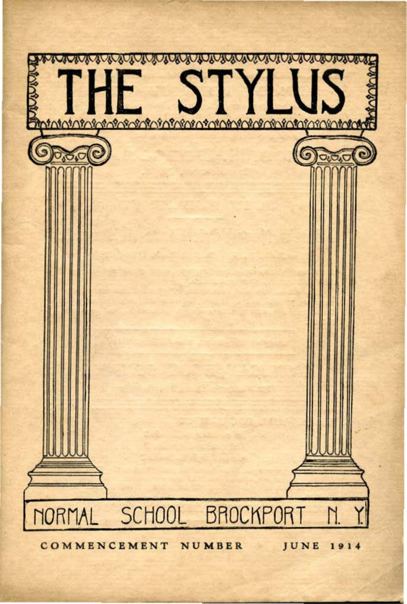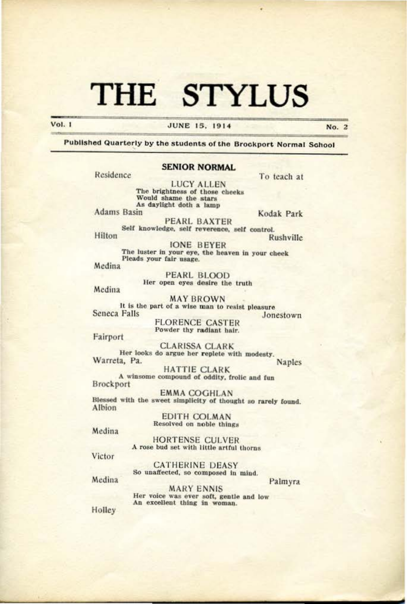**Vol. 1** 

#### **JUNE 15, 1914**

No. 2

Published Quarterly by the students of the Brockport Normal School

#### **SENIOR NORMAL**

Residence

**LUCY ALLEN** The brightness of those cheeks Would shame the stars<br>As daylight doth a lamp **Adams Basin** 

Kodak Park

To teach at

**PEARL BAXTER** Self knowledge, self reverence, self control.

Hilton Rushville **IONE BEYER** 

The luster in your eye, the heaven in your cheek Pleads your fair usage.

Medina

**PEARL BLOOD** Her open eyes desire the truth

Medina

**MAY BROWN** It is the part of a wise man to resist pleasure Seneca Falls

Jonestown

**FLORENCE CASTER** Powder thy radiant hair.

Fairport

**CLARISSA CLARK** Her looks do argue her replete with modesty. Warreta, Pa. **Naples** 

**HATTIE CLARK** A winsome compound of oddity, frolic and fun

Brockport

**EMMA COGHLAN** Blessed with the sweet simplicity of thought so rarely found. Albion

> **EDITH COLMAN** Resolved on noble things

Medina

HORTENSE CULVER A rose bud set with little artful thorns

Victor

**CATHERINE DEASY** So unaffected, so composed in mind.

Medina

Palmyra

MARY ENNIS Her voice was ever soft, gentle and low An excellent thing in woman.

Holley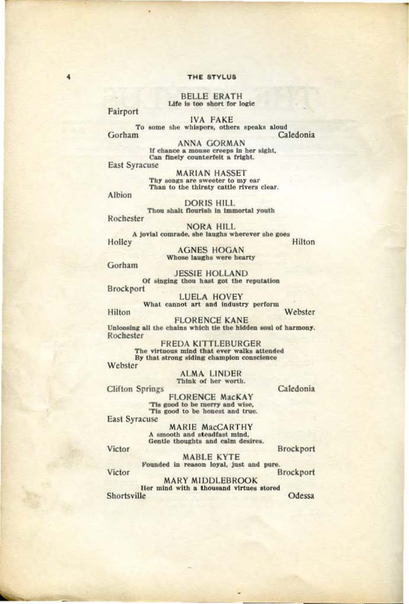**BELLE ERATH** Life is too short for logic

Fairport

 $\ddot{a}$ 

**IVA FAKE** To some she whispers, others speaks aloud Gorham Caledonia

> **ANNA GORMAN** If chance a mouse creeps in her sight, Can finely counterfeit a fright.

**East Syracuse** 

**MARIAN HASSET** Thy songs are sweeter to my ear Than to the thirsty cattle rivers clear.

Albion

**DORIS HILL** Thou shalt flourish in immortal youth

Rochester

**NORA HILL** A jovial comrade, she laughs wherever she goes Holley

Hilton

**AGNES HOGAN** Whose laughs were hearty

Gorham

**JESSIE HOLLAND** Of singing thou hast got the reputation Brockport

**LUELA HOVEY** What cannot art and industry perform Webster

Hilton

**FLORENCE KANE** Unloosing all the chains which tie the hidden soul of harmony. Rochester

**FREDA KITTLEBURGER** The virtuous mind that ever walks attended<br>By that strong siding champion conscience Webster

ALMA LINDER<br>Think of her worth.

**Clifton Springs** 

Caledonia

**FLORENCE MacKAY** 'Tis good to be merry and wise, 'Tis good to be honest and true.

**East Syracuse** 

MARIE MacCARTHY<br>A smooth and steadfast mind, Gentle thoughts and calm desires.

Brockport

Victor

**MABLE KYTE** Founded in reason loyal, just and pure. Brockport

Victor

**MARY MIDDLEBROOK** Her mind with a thousand virtues stored Shortsville Odessa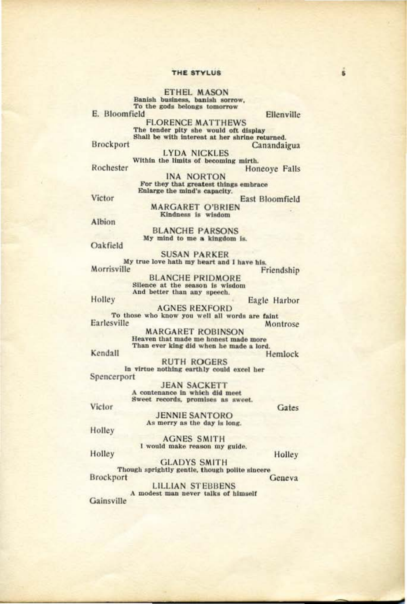ETHEL MASON<br>Banish business, banish sorrow, To the gods belongs tomorrow

E. Bloomfield

Ellenville

East Bloomfield

**FLORENCE MATTHEWS** The tender pity she would oft display Shall be with interest at her shrine returned. Brockport Canandaigua

**LYDA NICKLES** Within the limits of becoming mirth. Rochester Honeoye Falls

**INA NORTON** For they that greatest things embrace Enlarge the mind's capacity.

Victor

MARGARET O'BRIEN<br>Kindness is wisdom

Albion

**BLANCHE PARSONS** My mind to me a kingdom is.

Oakfield

**SUSAN PARKER** My true love hath my heart and I have his. Morrisville Friendship

**BLANCHE PRIDMORE** Silence at the season is wisdom<br>And better than any speech.

Holley

Eagle Harbor **AGNES REXFORD** To those who know you well all words are faint Earlesville Montrose

> **MARGARET ROBINSON** Heaven that made me honest made more Than ever king did when he made a lord.

Kendall

Hemlock **RUTH ROGERS** In virtue nothing earthly could excel her Spencerport

> **JEAN SACKETT** A contenance in which did meet Sweet records, promises as sweet.

Victor

**JENNIE SANTORO** As merry as the day is long.

Holley

**AGNES SMITH** I would make reason my guide.

Holley

Holley **GLADYS SMITH** Though sprightly gentle, though polite sincere

**Brockport** 

**LILLIAN STEBBENS** A modest man never talks of himself Gainsville

Gates

Geneva

 $\overline{5}$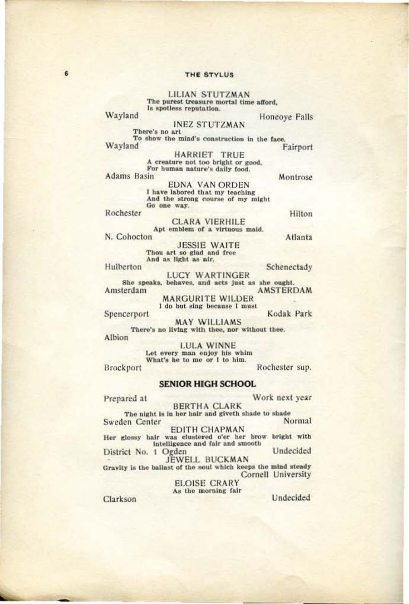**LILIAN STUTZMAN** The purest treasure mortal time afford, Is spotless reputation.

Wayland

**INEZ STUTZMAN** 

Honeove Falls

There's no art To show the mind's construction in the face. Wayland Fairport

> HARRIET TRUE A creature not too bright or good, For human nature's daily food.

**Adams Basin** 

Montrose

**EDNA VAN ORDEN** I have labored that my teaching And the strong course of my might Go one way.

Rochester

Hilton

CLARA VIERHILE<br>Apt emblem of a virtuous maid.

N. Cohocton **JESSIE WAITE** 

Thou art so glad and free And as light as air.

Hulberton

Spencerport

**LUCY WARTINGER** She speaks, behaves, and acts just as she ought.

Amsterdam **AMSTERDAM MARGURITE WILDER** 

I do but sing because I must

Kodak Park

MAY WILLIAMS<br>There's no living with thee, nor without thee. Albion

> **LULA WINNE** Let every man enjoy his whim What's he to me or I to him.

Brockport

**SENIOR HIGH SCHOOL** 

Rochester sup.

Work next year Prepared at **BERTHA CLARK** The night is in her hair and giveth shade to shade Normal Sweden Center

**EDITH CHAPMAN** Her glossy hair was clustered o'er her brow bright with intelligence and fair and smooth Undecided District No. 1 Ogden

JEWELL BUCKMAN Gravity is the ballast of the soul which keeps the mind steady Cornell University

**ELOISE CRARY** As the morning fair

Clarkson

Undecided

Atlanta

Schenectady

 $6$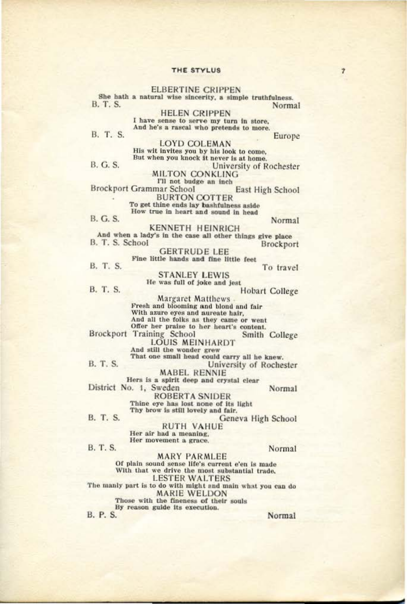**ELBERTINE CRIPPEN** She hath a natural wise sincerity, a simple truthfulness. **B. T. S.** Normal **HELEN CRIPPEN** I have sense to serve my turn in store,<br>And he's a rascal who pretends to more. B. T. S. Europe **LOYD COLEMAN** His wit invites you by his look to come, But when you knock it never is at home. **B. G. S.** University of Rochester **MILTON CONKLING** I'll not budge an inch **Brockport Grammar School** East High School **BURTON COTTER** To get thine ends lay bashfulness aside How true in heart and sound in head **B. G. S.** Normal **KENNETH HEINRICH** And when a lady's in the case all other things give place B. T. S. School **Brockport GERTRUDE LEE** Fine little hands and fine little feet B. T. S. To travel **STANLEY LEWIS** He was full of joke and jest **B. T. S. Hobart College** Margaret Matthews -<br>Fresh and blooming and blond and fair With azure eyes and aureate hair, And all the folks as they came or went Offer her praise to her heart's content. Brockport Training School<br>LOUIS MEINHARDT Smith College And still the wonder grew<br>That one small head could carry all he knew. **B. T. S.** University of Rochester **MABEL RENNIE** Hers is a spirit deep and crystal clear District No. 1, Sweden Normal **ROBERTA SNIDER** Thine eye has lost none of its light Thy brow is still lovely and fair. **B. T. S.** Geneva High School **RUTH VAHUE** Her air had a meaning. Her movement a grace. **B.T.S.** Normal **MARY PARMLEE** Of plain sound sense life's current e'en is made With that we drive the most substantial trade, **LESTER WALTERS** The manly part is to do with might and main what you can do

**MARIE WELDON** Those with the fineness of their souls By reason guide its execution.

**B. P. S.** 

Normal

 $\overline{z}$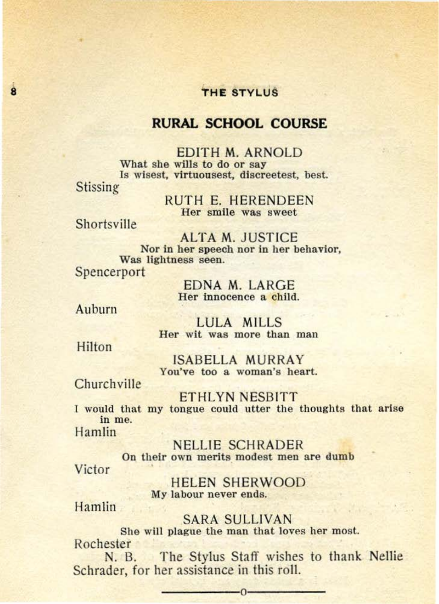## **RURAL SCHOOL COURSE**

EDITH M. ARNOLD<br>What she wills to do or say Is wisest, virtuousest, discreetest, best. Stissing

> RUTH E. HERENDEEN Her smile was sweet

Shortsville

 $\overline{\mathbf{a}}$ 

ALTA M. JUSTICE Nor in her speech nor in her behavior, Was lightness seen. Spencerport

> EDNA M. LARGE Her innocence a child.

Auburn

LULA MILLS Her wit was more than man

Hilton

ISABELLA MURRAY You've too a woman's heart.

**Church ville** 

ETHL YN NESBITT 1 would that my tongue could utter the thoughts that arise in me. Hamlin

NELLIE SCHRADER On their own merits modest men are dumb Victor .

> HELEN SHERWOOD My labour never ends.

Hamlin

SARA SULLIVAN

She will plague the man that loves her most. Rochester

N. B. The Stylus Staff wishes to thank Nellie Schrader, for her assistance in this roll.

<u>0</u>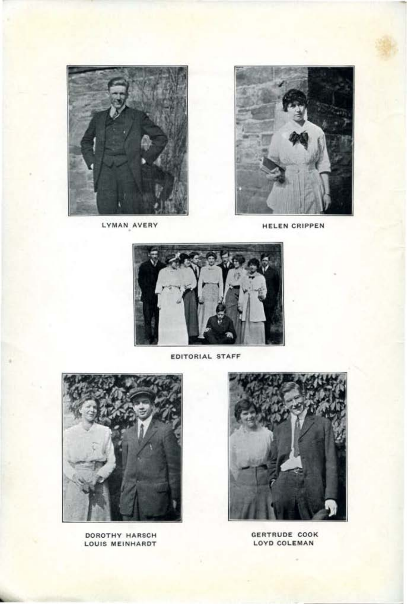DOROTHY HARSCH LOUIS MEINHARDT







EDITORIAL STAFF



LYMAN AVERY



-

HELEN CRIPPEN